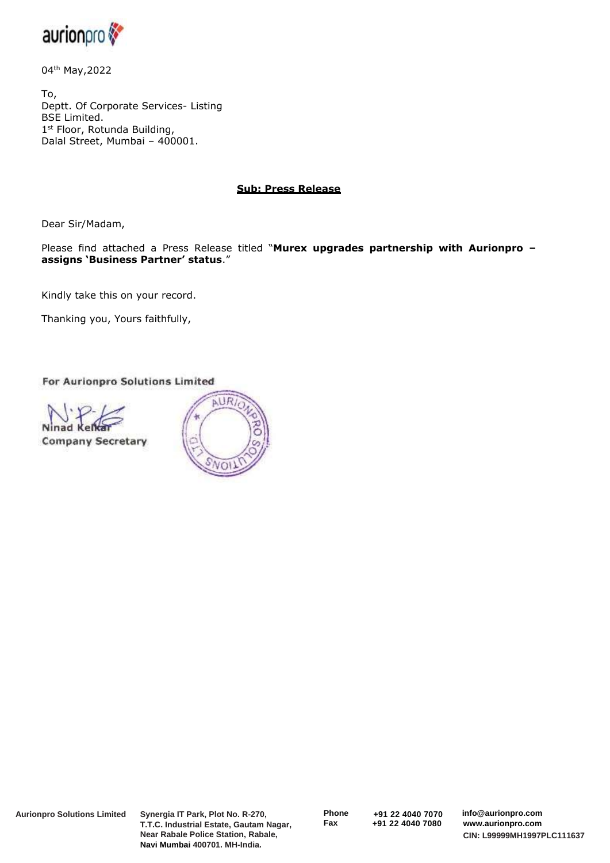

04th May,2022

To, Deptt. Of Corporate Services- Listing BSE Limited. 1 st Floor, Rotunda Building, Dalal Street, Mumbai – 400001.

## **Sub: Press Release**

Dear Sir/Madam,

Please find attached a Press Release titled "**Murex upgrades partnership with Aurionpro – assigns 'Business Partner' status**."

Kindly take this on your record.

Thanking you, Yours faithfully,

For Aurionpro Solutions Limited